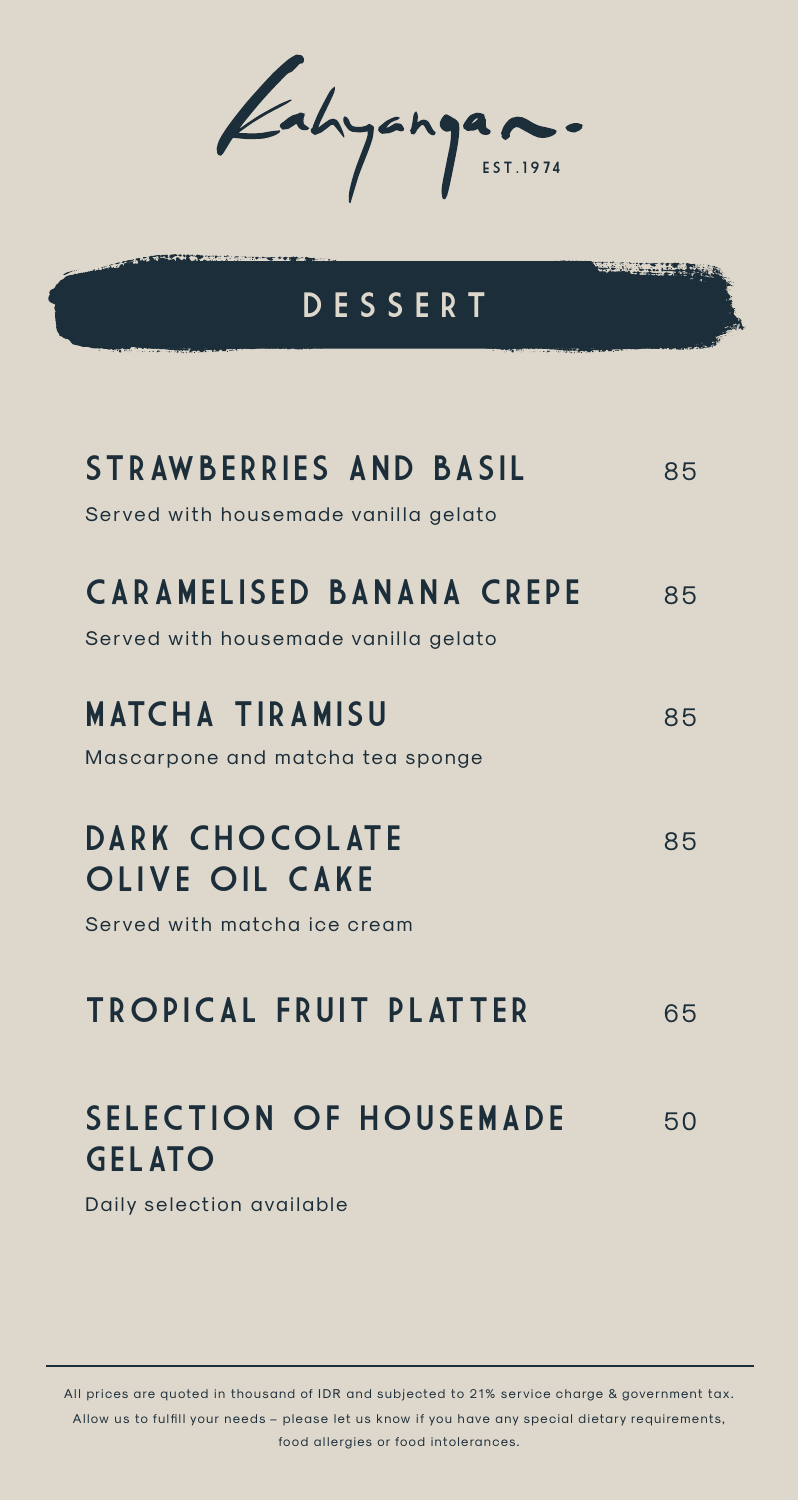Kahyangan.

## **DESSERT**

<u>Sing to the part</u>

| <b>STRAWBERRIES AND BASIL</b><br>Served with housemade vanilla gelato       | 85 |
|-----------------------------------------------------------------------------|----|
| <b>CARAMELISED BANANA CREPE</b><br>Served with housemade vanilla gelato     | 85 |
| <b>MATCHA TIRAMISU</b><br>Mascarpone and matcha tea sponge                  | 85 |
| <b>DARK CHOCOLATE</b><br>OLIVE OIL CAKE<br>Served with matcha ice cream     | 85 |
| <b>TROPICAL FRUIT PLATTER</b>                                               | 65 |
| <b>SELECTION OF HOUSEMADE</b><br><b>GELATO</b><br>Daily selection available | 50 |

All prices are quoted in thousand of IDR and subjected to 21% service charge & government tax.

Allow us to fulfill your needs - please let us know if you have any special dietary requirements, food allergies or food intolerances.